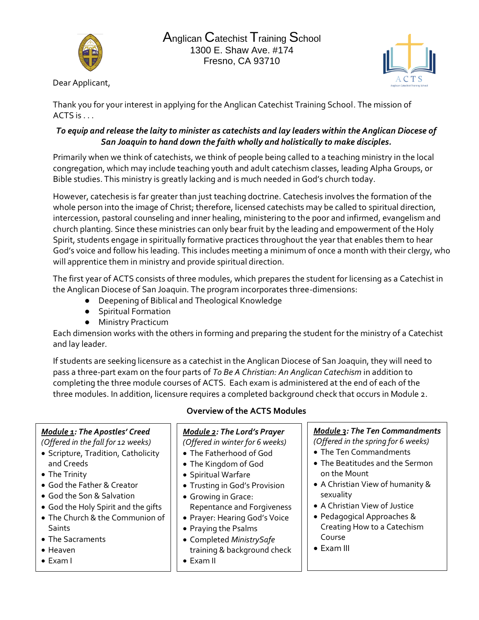



Dear Applicant,

Thank you for your interest in applying for the Anglican Catechist Training School. The mission of ACTS is . . .

#### *To equip and release the laity to minister as catechists and lay leaders within the Anglican Diocese of San Joaquin to hand down the faith wholly and holistically to make disciples.*

Primarily when we think of catechists, we think of people being called to a teaching ministry in the local congregation, which may include teaching youth and adult catechism classes, leading Alpha Groups, or Bible studies. This ministry is greatly lacking and is much needed in God's church today.

However, catechesis is far greater than just teaching doctrine. Catechesis involves the formation of the whole person into the image of Christ; therefore, licensed catechists may be called to spiritual direction, intercession, pastoral counseling and inner healing, ministering to the poor and infirmed, evangelism and church planting. Since these ministries can only bear fruit by the leading and empowerment of the Holy Spirit, students engage in spiritually formative practices throughout the year that enables them to hear God's voice and follow his leading. This includes meeting a minimum of once a month with their clergy, who will apprentice them in ministry and provide spiritual direction.

The first year of ACTS consists of three modules, which prepares the student for licensing as a Catechist in the Anglican Diocese of San Joaquin. The program incorporates three-dimensions:

- Deepening of Biblical and Theological Knowledge
- Spiritual Formation
- Ministry Practicum

Each dimension works with the others in forming and preparing the student for the ministry of a Catechist and lay leader.

If students are seeking licensure as a catechist in the Anglican Diocese of San Joaquin, they will need to pass a three-part exam on the four parts of *To Be A Christian: An Anglican Catechism* in addition to completing the three module courses of ACTS. Each exam is administered at the end of each of the three modules. In addition, licensure requires a completed background check that occurs in Module 2.

#### *Module 1: The Apostles' Creed*

*(Offered in the fall for 12 weeks)*

- Scripture, Tradition, Catholicity and Creeds
- The Trinity
- God the Father & Creator
- God the Son & Salvation
- God the Holy Spirit and the gifts
- The Church & the Communion of Saints
- The Sacraments
- Heaven
- Exam I

## **Overview of the ACTS Modules**

*Module 2: The Lord's Prayer (Offered in winter for 6 weeks)*

- The Fatherhood of God
- The Kingdom of God
- Spiritual Warfare
- Trusting in God's Provision
- Growing in Grace: Repentance and Forgiveness
- Prayer: Hearing God's Voice
- Praying the Psalms
- Completed *MinistrySafe*  training & background check
- Exam II

*Module 3: The Ten Commandments (Offered in the spring for 6 weeks)*

- The Ten Commandments
- The Beatitudes and the Sermon on the Mount
- A Christian View of humanity & sexuality
- A Christian View of Justice
- Pedagogical Approaches & Creating How to a Catechism Course
- Exam III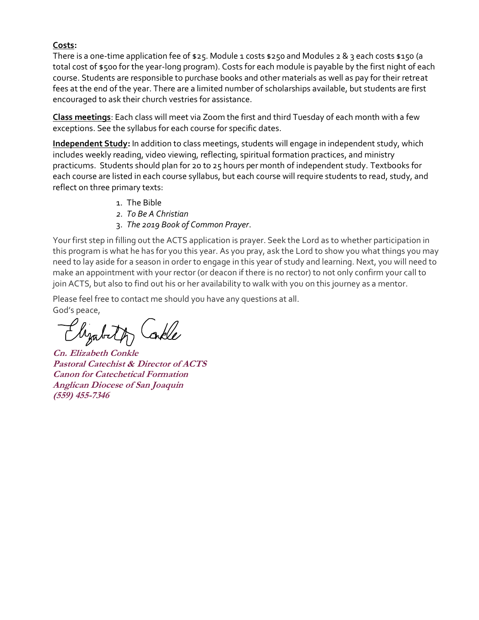#### **Costs:**

There is a one-time application fee of \$25. Module 1 costs \$250 and Modules 2 & 3 each costs \$150 (a total cost of \$500 for the year-long program). Costs for each module is payable by the first night of each course. Students are responsible to purchase books and other materials as well as pay for their retreat fees at the end of the year. There are a limited number of scholarships available, but students are first encouraged to ask their church vestries for assistance.

**Class meetings**: Each class will meet via Zoom the first and third Tuesday of each month with a few exceptions. See the syllabus for each course for specific dates.

**Independent Study:** In addition to class meetings, students will engage in independent study, which includes weekly reading, video viewing, reflecting, spiritual formation practices, and ministry practicums. Students should plan for 20 to 25 hours per month of independent study. Textbooks for each course are listed in each course syllabus, but each course will require students to read, study, and reflect on three primary texts:

- 1. The Bible
- *2. To Be A Christian*
- 3. *The 2019 Book of Common Prayer*.

Your first step in filling out the ACTS application is prayer. Seek the Lord as to whether participation in this program is what he has for you this year. As you pray, ask the Lord to show you what things you may need to lay aside for a season in order to engage in this year of study and learning. Next, you will need to make an appointment with your rector (or deacon if there is no rector) to not only confirm your call to join ACTS, but also to find out his or her availability to walk with you on this journey as a mentor.

Please feel free to contact me should you have any questions at all. God's peace,

Elizabeth

**Cn. Elizabeth Conkle Pastoral Catechist & Director of ACTS Canon for Catechetical Formation Anglican Diocese of San Joaquin (559) 455-7346**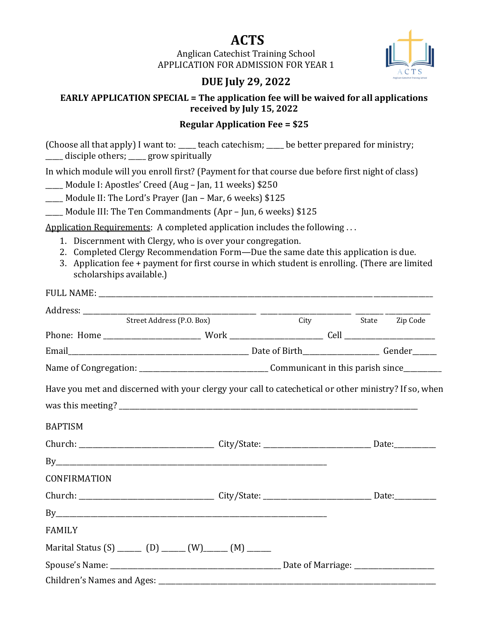# **ACTS**

Anglican Catechist Training School APPLICATION FOR ADMISSION FOR YEAR 1



### **EARLY APPLICATION SPECIAL = The application fee will be waived for all applications received by July 15, 2022**

### **Regular Application Fee = \$25**

(Choose all that apply) I want to: \_\_\_\_\_ teach catechism; \_\_\_\_\_ be better prepared for ministry; \_\_\_\_\_ disciple others; \_\_\_\_\_ grow spiritually

In which module will you enroll first? (Payment for that course due before first night of class)

\_\_\_\_\_ Module I: Apostles' Creed (Aug – Jan, 11 weeks) \$250

Module II: The Lord's Prayer (Jan – Mar, 6 weeks) \$125

Module III: The Ten Commandments (Apr – Jun, 6 weeks) \$125

Application Requirements: A completed application includes the following ...

- 1. Discernment with Clergy, who is over your congregation.
- 2. Completed Clergy Recommendation Form—Due the same date this application is due.
- 3. Application fee + payment for first course in which student is enrolling. (There are limited scholarships available.)

|                                                                                                      | Street Address (P.O. Box) |  | City State Zip Code |  |
|------------------------------------------------------------------------------------------------------|---------------------------|--|---------------------|--|
|                                                                                                      |                           |  |                     |  |
|                                                                                                      |                           |  |                     |  |
|                                                                                                      |                           |  |                     |  |
| Have you met and discerned with your clergy your call to catechetical or other ministry? If so, when |                           |  |                     |  |
|                                                                                                      |                           |  |                     |  |
| <b>BAPTISM</b>                                                                                       |                           |  |                     |  |
|                                                                                                      |                           |  |                     |  |
|                                                                                                      |                           |  |                     |  |
| CONFIRMATION                                                                                         |                           |  |                     |  |
|                                                                                                      |                           |  |                     |  |
| By                                                                                                   |                           |  |                     |  |
| <b>FAMILY</b>                                                                                        |                           |  |                     |  |
| Marital Status (S) _______ (D) ______ (W) _______ (M) _______                                        |                           |  |                     |  |
|                                                                                                      |                           |  |                     |  |
|                                                                                                      |                           |  |                     |  |

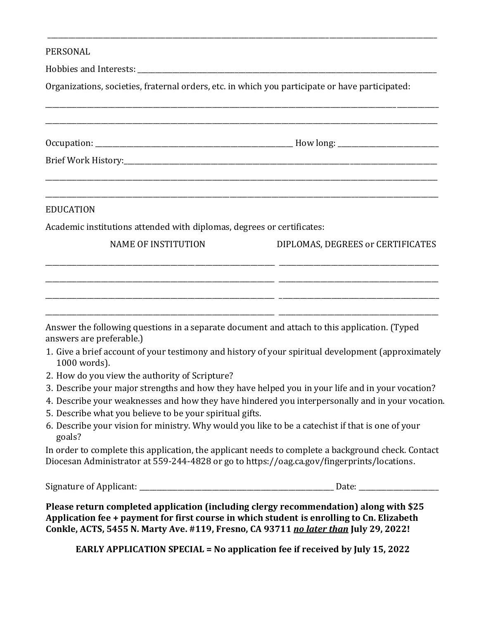#### PERSONAL

Hobbies and Interests: \_\_\_\_\_\_\_\_\_\_\_\_\_\_\_\_\_\_\_\_\_\_\_\_\_\_\_\_\_\_\_\_\_\_\_\_\_\_\_\_\_\_\_\_\_\_\_\_\_\_\_\_\_\_\_\_\_\_\_\_\_\_\_\_\_\_\_\_\_\_\_\_\_\_\_\_\_\_\_\_\_\_\_\_\_\_

Organizations, societies, fraternal orders, etc. in which you participate or have participated:

\_\_\_\_\_\_\_\_\_\_\_\_\_\_\_\_\_\_\_\_\_\_\_\_\_\_\_\_\_\_\_\_\_\_\_\_\_\_\_\_\_\_\_\_\_\_\_\_\_\_\_\_\_\_\_\_\_\_\_\_\_\_\_\_\_\_\_\_\_\_\_\_\_\_\_\_\_\_\_\_\_\_\_\_\_\_\_\_\_\_\_\_\_\_\_\_\_\_\_\_\_\_\_\_\_\_\_\_\_\_\_\_

| <b>EDUCATION</b>                                                                                                                                                                                                                                                                                                                                                                                                                                                                                                                                     |                                   |
|------------------------------------------------------------------------------------------------------------------------------------------------------------------------------------------------------------------------------------------------------------------------------------------------------------------------------------------------------------------------------------------------------------------------------------------------------------------------------------------------------------------------------------------------------|-----------------------------------|
| Academic institutions attended with diplomas, degrees or certificates:                                                                                                                                                                                                                                                                                                                                                                                                                                                                               |                                   |
| <b>NAME OF INSTITUTION</b>                                                                                                                                                                                                                                                                                                                                                                                                                                                                                                                           | DIPLOMAS, DEGREES or CERTIFICATES |
|                                                                                                                                                                                                                                                                                                                                                                                                                                                                                                                                                      |                                   |
|                                                                                                                                                                                                                                                                                                                                                                                                                                                                                                                                                      |                                   |
| 1000 words).                                                                                                                                                                                                                                                                                                                                                                                                                                                                                                                                         |                                   |
|                                                                                                                                                                                                                                                                                                                                                                                                                                                                                                                                                      |                                   |
| Answer the following questions in a separate document and attach to this application. (Typed<br>answers are preferable.)<br>1. Give a brief account of your testimony and history of your spiritual development (approximately<br>2. How do you view the authority of Scripture?<br>3. Describe your major strengths and how they have helped you in your life and in your vocation?<br>4. Describe your weaknesses and how they have hindered you interpersonally and in your vocation.<br>5. Describe what you believe to be your spiritual gifts. |                                   |
| 6. Describe your vision for ministry. Why would you like to be a catechist if that is one of your<br>goals?                                                                                                                                                                                                                                                                                                                                                                                                                                          |                                   |
| In order to complete this application, the applicant needs to complete a background check. Contact<br>Diocesan Administrator at 559-244-4828 or go to https://oag.ca.gov/fingerprints/locations.                                                                                                                                                                                                                                                                                                                                                     |                                   |

**EARLY APPLICATION SPECIAL = No application fee if received by July 15, 2022**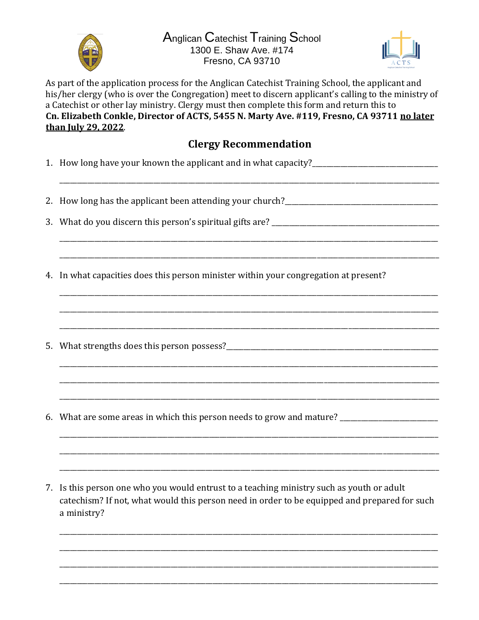

Anglican Catechist Training School 1300 E. Shaw Ave. #174 Fresno, CA 93710



As part of the application process for the Anglican Catechist Training School, the applicant and his/her clergy (who is over the Congregation) meet to discern applicant's calling to the ministry of a Catechist or other lay ministry. Clergy must then complete this form and return this to Cn. Elizabeth Conkle, Director of ACTS, 5455 N. Marty Ave. #119, Fresno, CA 93711 no later than July 29, 2022.

# **Clergy Recommendation**

|  | 1. How long have your known the applicant and in what capacity? |  |  |  |
|--|-----------------------------------------------------------------|--|--|--|
|--|-----------------------------------------------------------------|--|--|--|

- 
- 
- 4. In what capacities does this person minister within your congregation at present?
- 
- 6. What are some areas in which this person needs to grow and mature? \_\_\_\_\_\_\_\_\_\_\_\_\_\_\_\_\_\_\_\_\_\_\_\_\_\_\_\_\_\_
- 7. Is this person one who you would entrust to a teaching ministry such as youth or adult catechism? If not, what would this person need in order to be equipped and prepared for such a ministry?